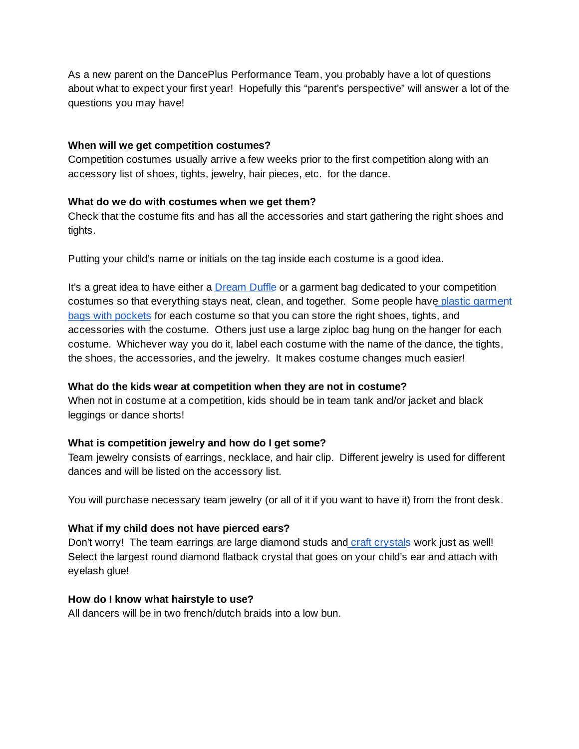As a new parent on the DancePlus Performance Team, you probably have a lot of questions about what to expect your first year! Hopefully this "parent's perspective" will answer a lot of the questions you may have!

### **When will we get competition costumes?**

Competition costumes usually arrive a few weeks prior to the first competition along with an accessory list of shoes, tights, jewelry, hair pieces, etc. for the dance.

### **What do we do with costumes when we get them?**

Check that the costume fits and has all the accessories and start gathering the right shoes and tights.

Putting your child's name or initials on the tag inside each costume is a good idea.

It's a great idea to have either a [Dream](https://www.dreamduffel.com/duffels?gclid=CjwKCAjwkrrbBRB9EiwAhlN8_BltpvQ6B_3p0DAAnDsIMex6sVUmK3JNEveghEBu0Pp-eVZbNZzM-BoCH2MQAvD_BwE) Duffle or a garment bag dedicated to your competition costumes so that everything stays neat, clean, and together. Some people have plastic [garment](https://www.dreamduffel.com/regular-garment-bag-3-pack-2684) bags with [pockets](https://www.dreamduffel.com/regular-garment-bag-3-pack-2684) for each costume so that you can store the right shoes, tights, and accessories with the costume. Others just use a large ziploc bag hung on the hanger for each costume. Whichever way you do it, label each costume with the name of the dance, the tights, the shoes, the accessories, and the jewelry. It makes costume changes much easier!

# **What do the kids wear at competition when they are not in costume?**

When not in costume at a competition, kids should be in team tank and/or jacket and black leggings or dance shorts!

# **What is competition jewelry and how do I get some?**

Team jewelry consists of earrings, necklace, and hair clip. Different jewelry is used for different dances and will be listed on the accessory list.

You will purchase necessary team jewelry (or all of it if you want to have it) from the front desk.

# **What if my child does not have pierced ears?**

Don't worry! The team earrings are large diamond studs and craft [crystals](https://www.amazon.com/Rhinestone-1440pcs-Crystal-Brilliant-Glitter/dp/B073DWVVTH/ref=sr_1_8?ie=UTF8&qid=1534005740&sr=8-8&keywords=flatback+clear+crystal) work just as well! Select the largest round diamond flatback crystal that goes on your child's ear and attach with eyelash glue!

### **How do I know what hairstyle to use?**

All dancers will be in two french/dutch braids into a low bun.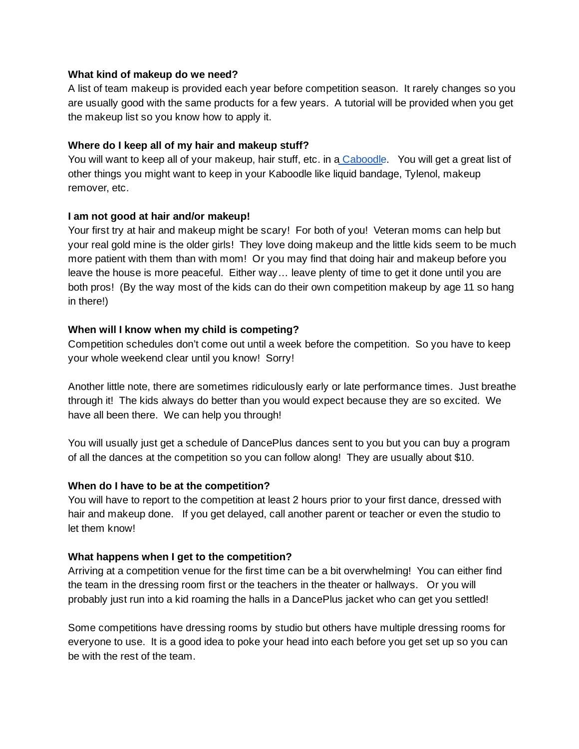#### **What kind of makeup do we need?**

A list of team makeup is provided each year before competition season. It rarely changes so you are usually good with the same products for a few years. A tutorial will be provided when you get the makeup list so you know how to apply it.

### **Where do I keep all of my hair and makeup stuff?**

You will want to keep all of your makeup, hair stuff, etc. in a [Caboodle.](https://www.amazon.com/s/?ie=UTF8&keywords=kaboodle&tag=googhydr-20&index=aps&hvadid=241634816043&hvpos=1t1&hvnetw=g&hvrand=14446614163791179267&hvpone=&hvptwo=&hvqmt=e&hvdev=c&hvdvcmdl=&hvlocint=&hvlocphy=1022009&hvtargid=kwd-540412903&ref=pd_sl_2oqjfkpcqh_e) You will get a great list of other things you might want to keep in your Kaboodle like liquid bandage, Tylenol, makeup remover, etc.

### **I am not good at hair and/or makeup!**

Your first try at hair and makeup might be scary! For both of you! Veteran moms can help but your real gold mine is the older girls! They love doing makeup and the little kids seem to be much more patient with them than with mom! Or you may find that doing hair and makeup before you leave the house is more peaceful. Either way… leave plenty of time to get it done until you are both pros! (By the way most of the kids can do their own competition makeup by age 11 so hang in there!)

## **When will I know when my child is competing?**

Competition schedules don't come out until a week before the competition. So you have to keep your whole weekend clear until you know! Sorry!

Another little note, there are sometimes ridiculously early or late performance times. Just breathe through it! The kids always do better than you would expect because they are so excited. We have all been there. We can help you through!

You will usually just get a schedule of DancePlus dances sent to you but you can buy a program of all the dances at the competition so you can follow along! They are usually about \$10.

### **When do I have to be at the competition?**

You will have to report to the competition at least 2 hours prior to your first dance, dressed with hair and makeup done. If you get delayed, call another parent or teacher or even the studio to let them know!

# **What happens when I get to the competition?**

Arriving at a competition venue for the first time can be a bit overwhelming! You can either find the team in the dressing room first or the teachers in the theater or hallways. Or you will probably just run into a kid roaming the halls in a DancePlus jacket who can get you settled!

Some competitions have dressing rooms by studio but others have multiple dressing rooms for everyone to use. It is a good idea to poke your head into each before you get set up so you can be with the rest of the team.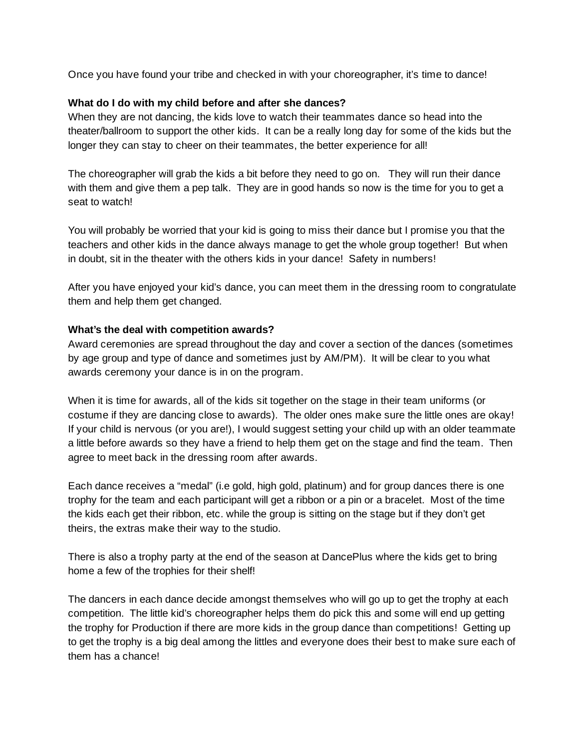Once you have found your tribe and checked in with your choreographer, it's time to dance!

### **What do I do with my child before and after she dances?**

When they are not dancing, the kids love to watch their teammates dance so head into the theater/ballroom to support the other kids. It can be a really long day for some of the kids but the longer they can stay to cheer on their teammates, the better experience for all!

The choreographer will grab the kids a bit before they need to go on. They will run their dance with them and give them a pep talk. They are in good hands so now is the time for you to get a seat to watch!

You will probably be worried that your kid is going to miss their dance but I promise you that the teachers and other kids in the dance always manage to get the whole group together! But when in doubt, sit in the theater with the others kids in your dance! Safety in numbers!

After you have enjoyed your kid's dance, you can meet them in the dressing room to congratulate them and help them get changed.

## **What's the deal with competition awards?**

Award ceremonies are spread throughout the day and cover a section of the dances (sometimes by age group and type of dance and sometimes just by AM/PM). It will be clear to you what awards ceremony your dance is in on the program.

When it is time for awards, all of the kids sit together on the stage in their team uniforms (or costume if they are dancing close to awards). The older ones make sure the little ones are okay! If your child is nervous (or you are!), I would suggest setting your child up with an older teammate a little before awards so they have a friend to help them get on the stage and find the team. Then agree to meet back in the dressing room after awards.

Each dance receives a "medal" (i.e gold, high gold, platinum) and for group dances there is one trophy for the team and each participant will get a ribbon or a pin or a bracelet. Most of the time the kids each get their ribbon, etc. while the group is sitting on the stage but if they don't get theirs, the extras make their way to the studio.

There is also a trophy party at the end of the season at DancePlus where the kids get to bring home a few of the trophies for their shelf!

The dancers in each dance decide amongst themselves who will go up to get the trophy at each competition. The little kid's choreographer helps them do pick this and some will end up getting the trophy for Production if there are more kids in the group dance than competitions! Getting up to get the trophy is a big deal among the littles and everyone does their best to make sure each of them has a chance!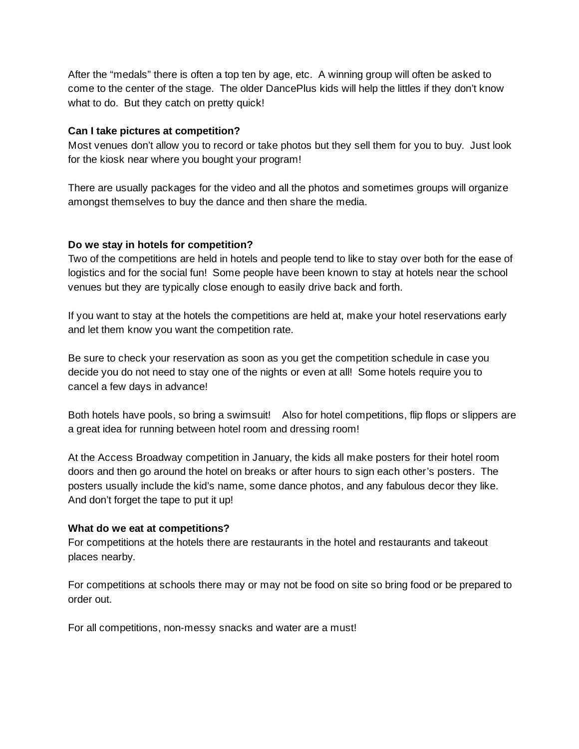After the "medals" there is often a top ten by age, etc. A winning group will often be asked to come to the center of the stage. The older DancePlus kids will help the littles if they don't know what to do. But they catch on pretty quick!

### **Can I take pictures at competition?**

Most venues don't allow you to record or take photos but they sell them for you to buy. Just look for the kiosk near where you bought your program!

There are usually packages for the video and all the photos and sometimes groups will organize amongst themselves to buy the dance and then share the media.

### **Do we stay in hotels for competition?**

Two of the competitions are held in hotels and people tend to like to stay over both for the ease of logistics and for the social fun! Some people have been known to stay at hotels near the school venues but they are typically close enough to easily drive back and forth.

If you want to stay at the hotels the competitions are held at, make your hotel reservations early and let them know you want the competition rate.

Be sure to check your reservation as soon as you get the competition schedule in case you decide you do not need to stay one of the nights or even at all! Some hotels require you to cancel a few days in advance!

Both hotels have pools, so bring a swimsuit! Also for hotel competitions, flip flops or slippers are a great idea for running between hotel room and dressing room!

At the Access Broadway competition in January, the kids all make posters for their hotel room doors and then go around the hotel on breaks or after hours to sign each other's posters. The posters usually include the kid's name, some dance photos, and any fabulous decor they like. And don't forget the tape to put it up!

### **What do we eat at competitions?**

For competitions at the hotels there are restaurants in the hotel and restaurants and takeout places nearby.

For competitions at schools there may or may not be food on site so bring food or be prepared to order out.

For all competitions, non-messy snacks and water are a must!